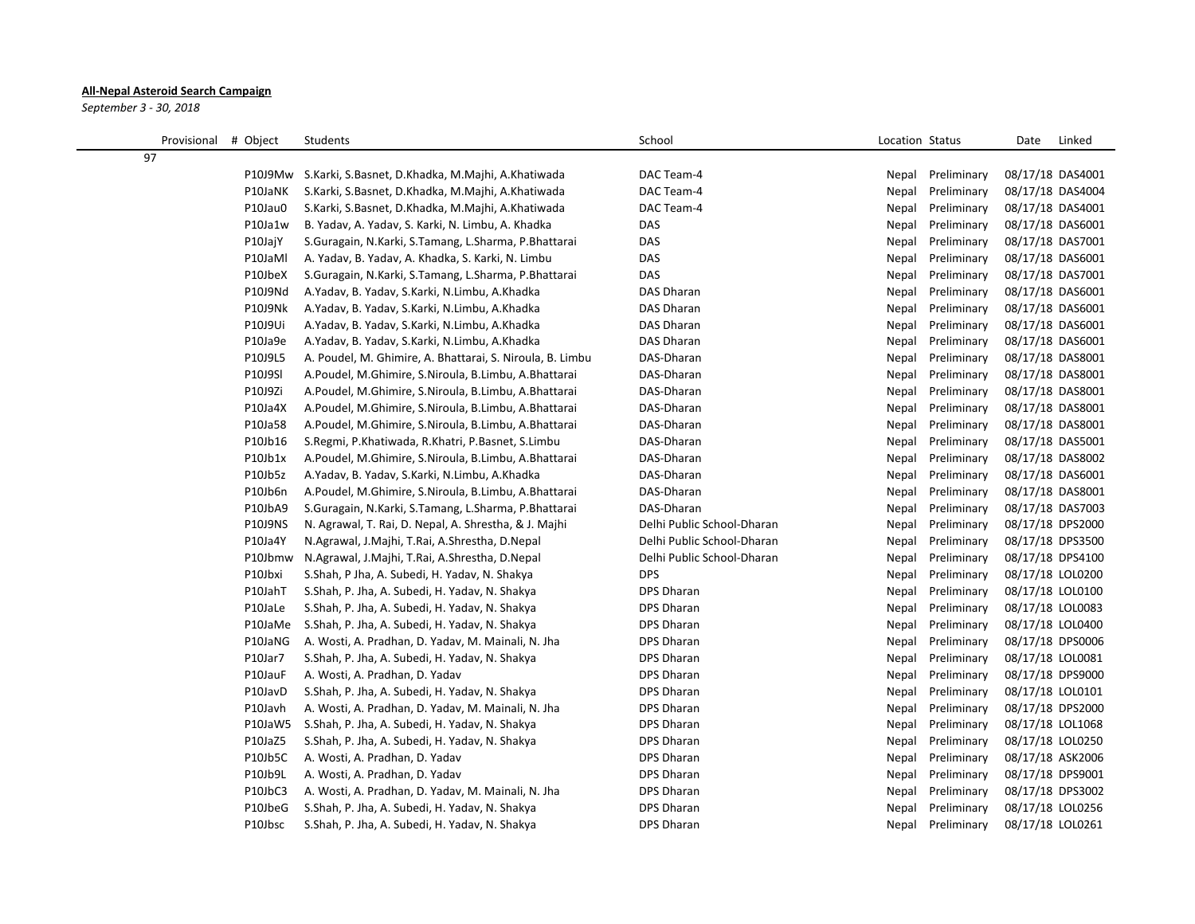## **All-Nepal Asteroid Search Campaign**

*September 3 - 30, 2018*

|    | Provisional # Object |         | Students                                                  | School                     | Location Status      | Date             | Linked |
|----|----------------------|---------|-----------------------------------------------------------|----------------------------|----------------------|------------------|--------|
| 97 |                      |         |                                                           |                            |                      |                  |        |
|    |                      | P10J9Mw | S.Karki, S.Basnet, D.Khadka, M.Majhi, A.Khatiwada         | DAC Team-4                 | Preliminary<br>Nepal | 08/17/18 DAS4001 |        |
|    |                      | P10JaNK | S.Karki, S.Basnet, D.Khadka, M.Majhi, A.Khatiwada         | DAC Team-4                 | Nepal<br>Preliminary | 08/17/18 DAS4004 |        |
|    |                      | P10Jau0 | S.Karki, S.Basnet, D.Khadka, M.Majhi, A.Khatiwada         | DAC Team-4                 | Nepal<br>Preliminary | 08/17/18 DAS4001 |        |
|    |                      | P10Ja1w | B. Yadav, A. Yadav, S. Karki, N. Limbu, A. Khadka         | DAS                        | Preliminary<br>Nepal | 08/17/18 DAS6001 |        |
|    |                      | P10JajY | S.Guragain, N.Karki, S.Tamang, L.Sharma, P.Bhattarai      | DAS                        | Nepal<br>Preliminary | 08/17/18 DAS7001 |        |
|    |                      | P10JaMl | A. Yadav, B. Yadav, A. Khadka, S. Karki, N. Limbu         | DAS                        | Preliminary<br>Nepal | 08/17/18 DAS6001 |        |
|    |                      | P10JbeX | S.Guragain, N.Karki, S.Tamang, L.Sharma, P.Bhattarai      | DAS                        | Nepal<br>Preliminary | 08/17/18 DAS7001 |        |
|    |                      | P10J9Nd | A.Yadav, B. Yadav, S.Karki, N.Limbu, A.Khadka             | <b>DAS Dharan</b>          | Nepal<br>Preliminary | 08/17/18 DAS6001 |        |
|    |                      | P10J9Nk | A.Yadav, B. Yadav, S.Karki, N.Limbu, A.Khadka             | DAS Dharan                 | Nepal<br>Preliminary | 08/17/18 DAS6001 |        |
|    |                      | P10J9Ui | A.Yadav, B. Yadav, S.Karki, N.Limbu, A.Khadka             | <b>DAS Dharan</b>          | Nepal<br>Preliminary | 08/17/18 DAS6001 |        |
|    |                      | P10Ja9e | A.Yadav, B. Yadav, S.Karki, N.Limbu, A.Khadka             | <b>DAS Dharan</b>          | Preliminary<br>Nepal | 08/17/18 DAS6001 |        |
|    |                      | P10J9L5 | A. Poudel, M. Ghimire, A. Bhattarai, S. Niroula, B. Limbu | DAS-Dharan                 | Preliminary<br>Nepal | 08/17/18 DAS8001 |        |
|    |                      | P10J9SI | A.Poudel, M.Ghimire, S.Niroula, B.Limbu, A.Bhattarai      | DAS-Dharan                 | Preliminary<br>Nepal | 08/17/18 DAS8001 |        |
|    |                      | P10J9Zi | A.Poudel, M.Ghimire, S.Niroula, B.Limbu, A.Bhattarai      | DAS-Dharan                 | Preliminary<br>Nepal | 08/17/18 DAS8001 |        |
|    |                      | P10Ja4X | A.Poudel, M.Ghimire, S.Niroula, B.Limbu, A.Bhattarai      | DAS-Dharan                 | Preliminary<br>Nepal | 08/17/18 DAS8001 |        |
|    |                      | P10Ja58 | A.Poudel, M.Ghimire, S.Niroula, B.Limbu, A.Bhattarai      | DAS-Dharan                 | Nepal<br>Preliminary | 08/17/18 DAS8001 |        |
|    |                      | P10Jb16 | S.Regmi, P.Khatiwada, R.Khatri, P.Basnet, S.Limbu         | DAS-Dharan                 | Nepal<br>Preliminary | 08/17/18 DAS5001 |        |
|    |                      | P10Jb1x | A.Poudel, M.Ghimire, S.Niroula, B.Limbu, A.Bhattarai      | DAS-Dharan                 | Nepal<br>Preliminary | 08/17/18 DAS8002 |        |
|    |                      | P10Jb5z | A.Yadav, B. Yadav, S.Karki, N.Limbu, A.Khadka             | DAS-Dharan                 | Preliminary<br>Nepal | 08/17/18 DAS6001 |        |
|    |                      | P10Jb6n | A.Poudel, M.Ghimire, S.Niroula, B.Limbu, A.Bhattarai      | DAS-Dharan                 | Preliminary<br>Nepal | 08/17/18 DAS8001 |        |
|    |                      | P10JbA9 | S.Guragain, N.Karki, S.Tamang, L.Sharma, P.Bhattarai      | DAS-Dharan                 | Preliminary<br>Nepal | 08/17/18 DAS7003 |        |
|    |                      | P10J9NS | N. Agrawal, T. Rai, D. Nepal, A. Shrestha, & J. Majhi     | Delhi Public School-Dharan | Preliminary<br>Nepal | 08/17/18 DPS2000 |        |
|    |                      | P10Ja4Y | N.Agrawal, J.Majhi, T.Rai, A.Shrestha, D.Nepal            | Delhi Public School-Dharan | Nepal<br>Preliminary | 08/17/18 DPS3500 |        |
|    |                      | P10Jbmw | N.Agrawal, J.Majhi, T.Rai, A.Shrestha, D.Nepal            | Delhi Public School-Dharan | Preliminary<br>Nepal | 08/17/18 DPS4100 |        |
|    |                      | P10Jbxi | S.Shah, P Jha, A. Subedi, H. Yadav, N. Shakya             | <b>DPS</b>                 | Preliminary<br>Nepal | 08/17/18 LOL0200 |        |
|    |                      | P10JahT | S.Shah, P. Jha, A. Subedi, H. Yadav, N. Shakya            | DPS Dharan                 | Preliminary<br>Nepal | 08/17/18 LOL0100 |        |
|    |                      | P10JaLe | S.Shah, P. Jha, A. Subedi, H. Yadav, N. Shakya            | <b>DPS Dharan</b>          | Preliminary<br>Nepal | 08/17/18 LOL0083 |        |
|    |                      | P10JaMe | S.Shah, P. Jha, A. Subedi, H. Yadav, N. Shakya            | <b>DPS Dharan</b>          | Preliminary<br>Nepal | 08/17/18 LOL0400 |        |
|    |                      | P10JaNG | A. Wosti, A. Pradhan, D. Yadav, M. Mainali, N. Jha        | <b>DPS Dharan</b>          | Preliminary<br>Nepal | 08/17/18 DPS0006 |        |
|    |                      | P10Jar7 | S.Shah, P. Jha, A. Subedi, H. Yadav, N. Shakya            | <b>DPS Dharan</b>          | Preliminary<br>Nepal | 08/17/18 LOL0081 |        |
|    |                      | P10JauF | A. Wosti, A. Pradhan, D. Yadav                            | <b>DPS Dharan</b>          | Nepal<br>Preliminary | 08/17/18 DPS9000 |        |
|    |                      | P10JavD | S.Shah, P. Jha, A. Subedi, H. Yadav, N. Shakya            | <b>DPS Dharan</b>          | Nepal<br>Preliminary | 08/17/18 LOL0101 |        |
|    |                      | P10Javh | A. Wosti, A. Pradhan, D. Yadav, M. Mainali, N. Jha        | <b>DPS Dharan</b>          | Nepal<br>Preliminary | 08/17/18 DPS2000 |        |
|    |                      | P10JaW5 | S.Shah, P. Jha, A. Subedi, H. Yadav, N. Shakya            | DPS Dharan                 | Nepal<br>Preliminary | 08/17/18 LOL1068 |        |
|    |                      | P10JaZ5 | S.Shah, P. Jha, A. Subedi, H. Yadav, N. Shakya            | <b>DPS Dharan</b>          | Preliminary<br>Nepal | 08/17/18 LOL0250 |        |
|    |                      | P10Jb5C | A. Wosti, A. Pradhan, D. Yadav                            | <b>DPS Dharan</b>          | Nepal<br>Preliminary | 08/17/18 ASK2006 |        |
|    |                      | P10Jb9L | A. Wosti, A. Pradhan, D. Yadav                            | <b>DPS Dharan</b>          | Nepal<br>Preliminary | 08/17/18 DPS9001 |        |
|    |                      | P10JbC3 | A. Wosti, A. Pradhan, D. Yadav, M. Mainali, N. Jha        | <b>DPS Dharan</b>          | Preliminary<br>Nepal | 08/17/18 DPS3002 |        |
|    |                      | P10JbeG | S.Shah, P. Jha, A. Subedi, H. Yadav, N. Shakya            | DPS Dharan                 | Nepal<br>Preliminary | 08/17/18 LOL0256 |        |
|    |                      | P10Jbsc | S.Shah, P. Jha, A. Subedi, H. Yadav, N. Shakya            | <b>DPS Dharan</b>          | Nepal<br>Preliminary | 08/17/18 LOL0261 |        |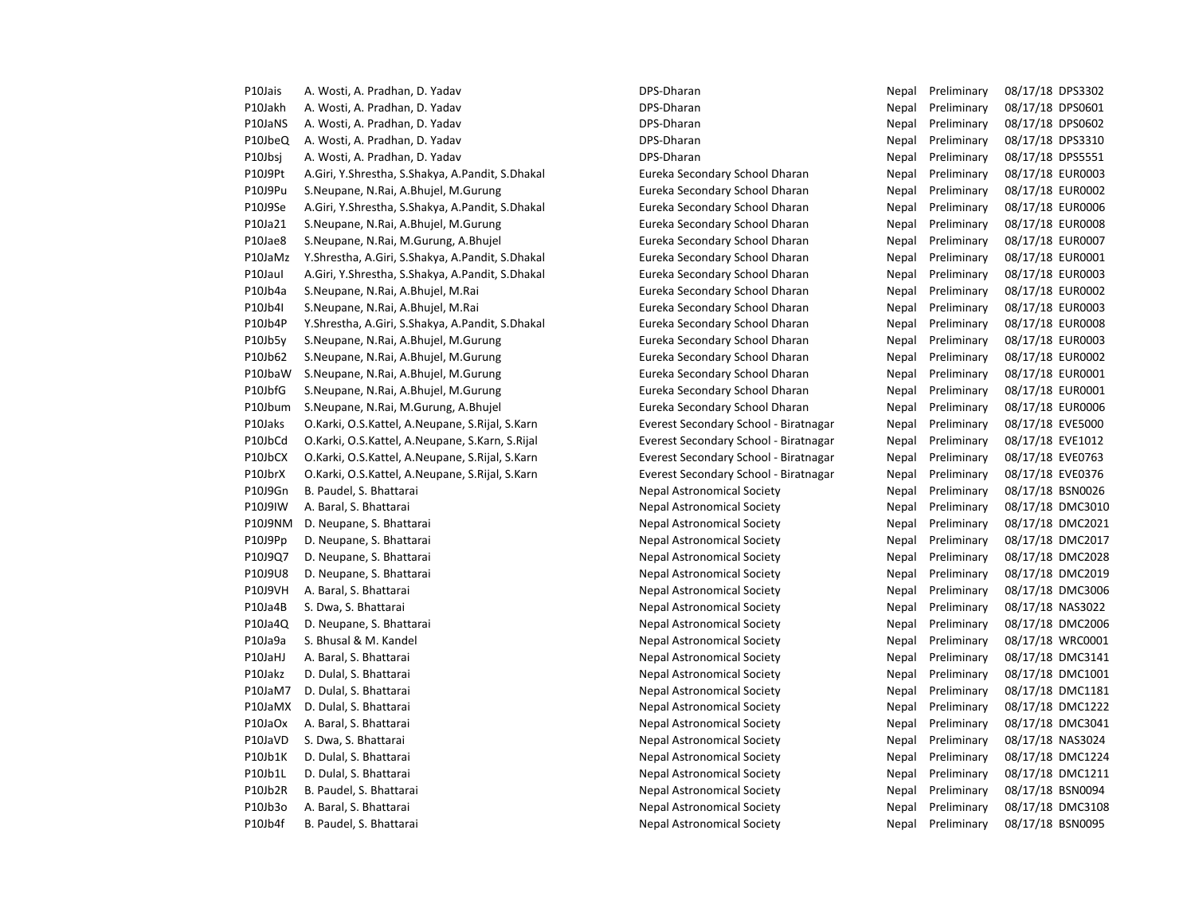P10Jais A. Wosti, A. Pradhan, D. Yadav **Nepal Preliminary 1984** - A. Pradhan, D. Yadav DPS-Dharan Nepal Preliminary 08/17/18 DPS3302 P10Jakh A. Wosti, A. Pradhan, D. Yadav Desember 2008 2012/18 DPS-Dharan DPS-Dharan Nepal Preliminary 08/17/18 DPS0601 P10JaNS A. Wosti, A. Pradhan, D. Yadav **Nepal Pradhan, A. Pradhan** DPS-Dharan Nepal Preliminary 08/17/18 DPS0602 P10JbeQ A. Wosti, A. Pradhan, D. Yadav **Nepal Preliminary 1981-1981** DPS-Dharan Nepal Preliminary 08/17/18 DPS3310 P10Jbsj A. Wosti, A. Pradhan, D. Yadav **Desember 2006** DPS-Dharan Nepal Preliminary 08/17/18 DPS5551 P10J9Pt A.Giri, Y.Shrestha, S.Shakya, A.Pandit, S.Dhakal Eureka Secondary School Dharan Nepal Preliminary 08/17/18 EUR0003 P10J9Pu S.Neupane, N.Rai, A.Bhujel, M.Gurung Eureka Secondary School Dharan Nepal Preliminary 08/17/18 EUR0002 P10J9Se A.Giri, Y.Shrestha, S.Shakya, A.Pandit, S.Dhakal Eureka Secondary School Dharan Nepal Preliminary 08/17/18 EUR0006 P10Ja21 S.Neupane, N.Rai, A.Bhujel, M.Gurung Eureka Secondary School Dharan Nepal Preliminary 08/17/18 EUR0008 P10Jae8 S.Neupane, N.Rai, M.Gurung, A.Bhujel **Eureka Secondary School Dharan** Nepal Preliminary 08/17/18 EUR0007 P10JaMz Y.Shrestha, A.Giri, S.Shakya, A.Pandit, S.Dhakal Eureka Secondary School Dharan Nepal Preliminary 08/17/18 EUR0001 P10JauI A.Giri, Y.Shrestha, S.Shakya, A.Pandit, S.Dhakal Eureka Secondary School Dharan Nepal Preliminary 08/17/18 EUR0003 P10Jb4a S.Neupane, N.Rai, A.Bhujel, M.Rai **Eureka Secondary School Dharan** Nepal Preliminary 08/17/18 EUR0002 P10Jb4I S.Neupane, N.Rai, A.Bhujel, M.Rai Sandary Serveta Secondary School Dharan Nepal Preliminary 08/17/18 EUR0003 P10Jb4P Y.Shrestha, A.Giri, S.Shakya, A.Pandit, S.Dhakal Eureka Secondary School Dharan Nepal Preliminary 08/17/18 EUR0008 P10Jb5y S.Neupane, N.Rai, A.Bhujel, M.Gurung Eureka Secondary School Dharan Nepal Preliminary 08/17/18 EUR0003 P10Jb62 S.Neupane, N.Rai, A.Bhujel, M.Gurung Eureka Secondary School Dharan Nepal Preliminary 08/17/18 EUR0002 P10JbaW S.Neupane, N.Rai, A.Bhujel, M.Gurung Eureka Secondary School Dharan Nepal Preliminary 08/17/18 EUR0001 P10JbfG S.Neupane, N.Rai, A.Bhujel, M.Gurung Eureka Secondary School Dharan Nepal Preliminary 08/17/18 EUR0001 P10Jbum S.Neupane, N.Rai, M.Gurung, A.Bhujel enter the State of Eureka Secondary School Dharan Nepal Preliminary 08/17/18 EUR0006 P10Jaks O.Karki, O.S.Kattel, A.Neupane, S.Rijal, S.Karn Everest Secondary School - Biratnagar Nepal Preliminary 08/17/18 EVE5000 P10JbCd O.Karki, O.S.Kattel, A.Neupane, S.Karn, S.Rijal Everest Secondary School - Biratnagar Nepal Preliminary 08/17/18 EVE1012 P10JbCX O.Karki, O.S.Kattel, A.Neupane, S.Rijal, S.Karn Everest Secondary School - Biratnagar Nepal Preliminary 08/17/18 EVE0763 P10JbrX O.Karki, O.S.Kattel, A.Neupane, S.Rijal, S.Karn Everest Secondary School - Biratnagar Nepal Preliminary 08/17/18 EVE0376 P10J9Gn B. Paudel, S. Bhattarai Nepal Astronomical Society Nepal Astronomical Society Nepal Preliminary 08/17/18 BSN0026 P10J9IW A. Baral, S. Bhattarai Nepal Astronomical Society Nepal Preliminary 08/17/18 DMC3010 P10J9NM D. Neupane, S. Bhattarai Nepal Astronomical Society Nepal Astronomical Society Nepal Preliminary 08/17/18 DMC2021 P10J9Pp D. Neupane, S. Bhattarai Nepal Astronomical Society Nepal Astronomical Society Nepal Preliminary 08/17/18 DMC2017 P10J9Q7 D. Neupane, S. Bhattarai Nepal Astronomical Society Nepal Preliminary 08/17/18 DMC2028 P10J9U8 D. Neupane, S. Bhattarai Nepal Astronomical Society Nepal Preliminary 08/17/18 DMC2019 P10J9VH A. Baral, S. Bhattarai Nepal Astronomical Society Nepal Astronomical Society Nepal Preliminary 08/17/18 DMC3006 P10Ja4B S. Dwa, S. Bhattarai Nepal Astronomical Society Nepal Preliminary 08/17/18 NAS3022 P10Ja4Q D. Neupane, S. Bhattarai Nepal Astronomical Society Nepal Astronomical Society Nepal Preliminary 08/17/18 DMC2006 P10Ja9a S. Bhusal & M. Kandel Nepal Astronomical Society Nepal Astronomical Society Nepal Preliminary 08/17/18 WRC0001 P10JaHJ A. Baral, S. Bhattarai Nepal Astronomical Society Nepal Astronomical Society Nepal Preliminary 08/17/18 DMC3141 P10Jakz D. Dulal, S. Bhattarai Nepal Astronomical Society Nepal Astronomical Society Nepal Preliminary 08/17/18 DMC1001 P10JaM7 D. Dulal, S. Bhattarai Nepal Astronomical Society Nepal Astronomical Society Nepal Preliminary 08/17/18 DMC1181 P10JaMX D. Dulal, S. Bhattarai Nepal Astronomical Society Nepal Astronomical Society Nepal Preliminary 08/17/18 DMC1222 P10JaOx A. Baral, S. Bhattarai 
Repal Astronomical Society
Nepal Astronomical Society
Nepal Preliminary 08/17/18 DMC3041 P10JaVD S. Dwa, S. Bhattarai Nepal Astronomical Society Nepal Astronomical Society Nepal Preliminary 08/17/18 NAS3024 P10Jb1K D. Dulal, S. Bhattarai Nepal Astronomical Society Nepal Preliminary 08/17/18 DMC1224 P10Jb1L D. Dulal, S. Bhattarai Nepal Astronomical Society Nepal Astronomical Society Nepal Preliminary 08/17/18 DMC1211 P10Jb2R B. Paudel, S. Bhattarai Nepal Astronomical Society Nepal Astronomical Society Nepal Preliminary 08/17/18 BSN0094 P10Jb3o A. Baral, S. Bhattarai 
Repal Astronomical Society
Nepal Astronomical Society
Nepal Preliminary 08/17/18 DMC3108 P10Jb4f B. Paudel, S. Bhattarai Nepal Astronomical Society Nepal Astronomical Society Nepal Preliminary 08/17/18 BSN0095